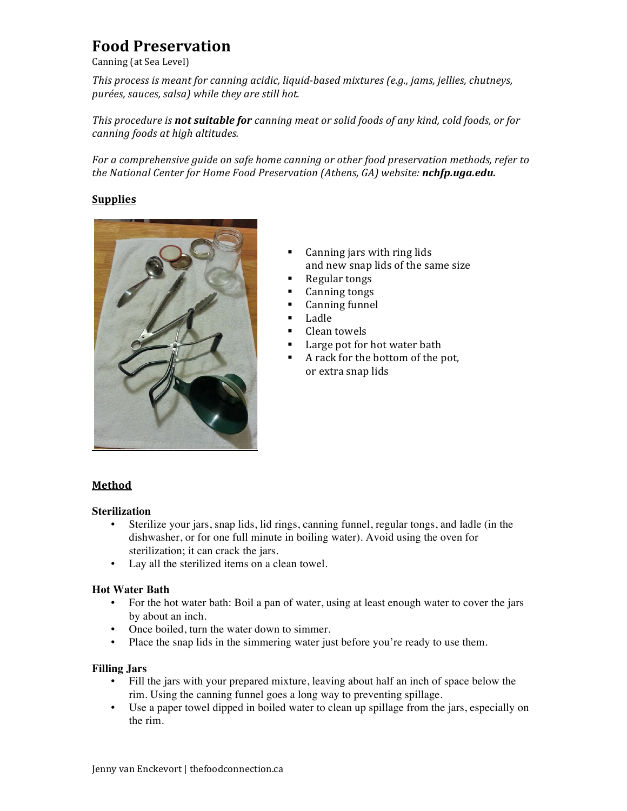# **Food\$Preservation**

Canning (at Sea Level)

*This process is meant for canning acidic, liquid-based mixtures (e.g., jams, jellies, chutneys, purées,%sauces,%salsa)%while%they%are%still%hot.*

*This%procedure%is%not\$suitable\$for canning%meat%or%solid%foods%of%any%kind,%cold%foods,%or%for% canning%foods%at%high%altitudes.*

For a comprehensive guide on safe home canning or other food preservation methods, refer to *the%National%Center%for%Home%Food%Preservation%(Athens,%GA)%website:%nchfp.uga.edu.*

## **Supplies**



- Canning jars with ring lids and new snap lids of the same size
- Regular tongs
- Canning tongs
- Canning funnel
- Ladle
- Clean towels
- Large pot for hot water bath
- A rack for the bottom of the pot, or extra snap lids

## **Method**

#### **Sterilization**

- Sterilize your jars, snap lids, lid rings, canning funnel, regular tongs, and ladle (in the dishwasher, or for one full minute in boiling water). Avoid using the oven for sterilization; it can crack the jars.
- Lay all the sterilized items on a clean towel.

#### **Hot Water Bath**

- For the hot water bath: Boil a pan of water, using at least enough water to cover the jars by about an inch.
- Once boiled, turn the water down to simmer.
- Place the snap lids in the simmering water just before you're ready to use them.

## **Filling Jars**

- Fill the jars with your prepared mixture, leaving about half an inch of space below the rim. Using the canning funnel goes a long way to preventing spillage.
- Use a paper towel dipped in boiled water to clean up spillage from the jars, especially on the rim.